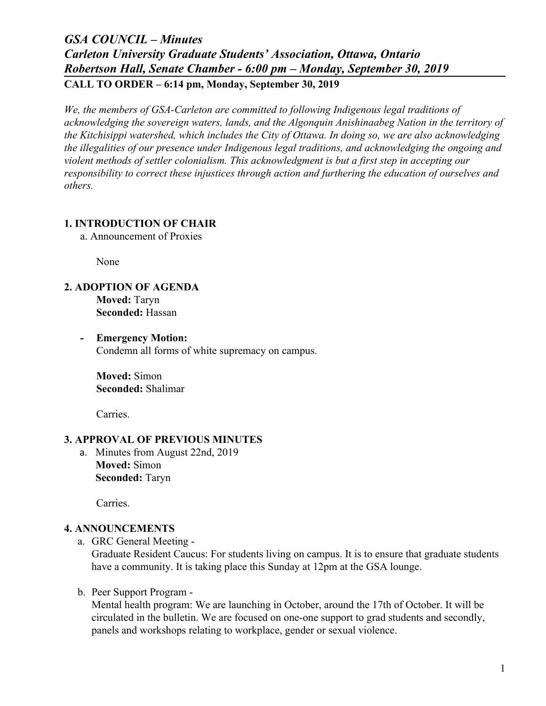# *GSA COUNCIL – Minutes Carleton University Graduate Students' Association, Ottawa, Ontario Robertson Hall, Senate Chamber - 6:00 pm – Monday, September 30, 2019* **CALL TO ORDER – 6:14 pm, Monday, September 30, 2019**

*We, the members of GSA-Carleton are committed to following Indigenous legal traditions of acknowledging the sovereign waters, lands, and the Algonquin Anishinaabeg Nation in the territory of the Kitchisippi watershed, which includes the City of Ottawa. In doing so, we are also acknowledging the illegalities of our presence under Indigenous legal traditions, and acknowledging the ongoing and violent methods of settler colonialism. This acknowledgment is but a first step in accepting our responsibility to correct these injustices through action and furthering the education of ourselves and others.*

### **1. INTRODUCTION OF CHAIR**

a. Announcement of Proxies

None

### **2. ADOPTION OF AGENDA**

**Moved:** Taryn **Seconded:** Hassan

**- Emergency Motion:** Condemn all forms of white supremacy on campus.

**Moved:** Simon **Seconded:** Shalimar

Carries.

### **3. APPROVAL OF PREVIOUS MINUTES**

a. Minutes from August 22nd, 2019 **Moved:** Simon **Seconded:** Taryn

Carries.

### **4. ANNOUNCEMENTS**

a. GRC General Meeting -

Graduate Resident Caucus: For students living on campus. It is to ensure that graduate students have a community. It is taking place this Sunday at 12pm at the GSA lounge.

b. Peer Support Program -

Mental health program: We are launching in October, around the 17th of October. It will be circulated in the bulletin. We are focused on one-one support to grad students and secondly, panels and workshops relating to workplace, gender or sexual violence.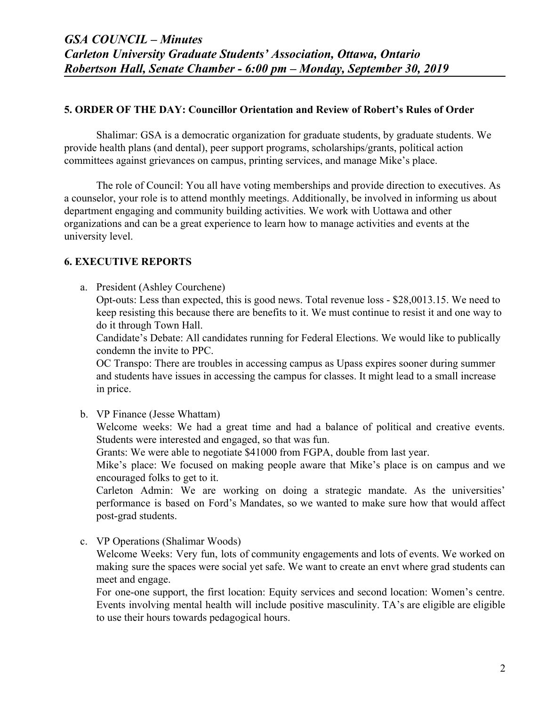#### **5. ORDER OF THE DAY: Councillor Orientation and Review of Robert's Rules of Order**

Shalimar: GSA is a democratic organization for graduate students, by graduate students. We provide health plans (and dental), peer support programs, scholarships/grants, political action committees against grievances on campus, printing services, and manage Mike's place.

The role of Council: You all have voting memberships and provide direction to executives. As a counselor, your role is to attend monthly meetings. Additionally, be involved in informing us about department engaging and community building activities. We work with Uottawa and other organizations and can be a great experience to learn how to manage activities and events at the university level.

### **6. EXECUTIVE REPORTS**

a. President (Ashley Courchene)

Opt-outs: Less than expected, this is good news. Total revenue loss - \$28,0013.15. We need to keep resisting this because there are benefits to it. We must continue to resist it and one way to do it through Town Hall.

Candidate's Debate: All candidates running for Federal Elections. We would like to publically condemn the invite to PPC.

OC Transpo: There are troubles in accessing campus as Upass expires sooner during summer and students have issues in accessing the campus for classes. It might lead to a small increase in price.

b. VP Finance (Jesse Whattam)

Welcome weeks: We had a great time and had a balance of political and creative events. Students were interested and engaged, so that was fun.

Grants: We were able to negotiate \$41000 from FGPA, double from last year.

Mike's place: We focused on making people aware that Mike's place is on campus and we encouraged folks to get to it.

Carleton Admin: We are working on doing a strategic mandate. As the universities' performance is based on Ford's Mandates, so we wanted to make sure how that would affect post-grad students.

c. VP Operations (Shalimar Woods) Welcome Weeks: Very fun, lots of community engagements and lots of events. We worked on making sure the spaces were social yet safe. We want to create an envt where grad students can meet and engage.

For one-one support, the first location: Equity services and second location: Women's centre. Events involving mental health will include positive masculinity. TA's are eligible are eligible to use their hours towards pedagogical hours.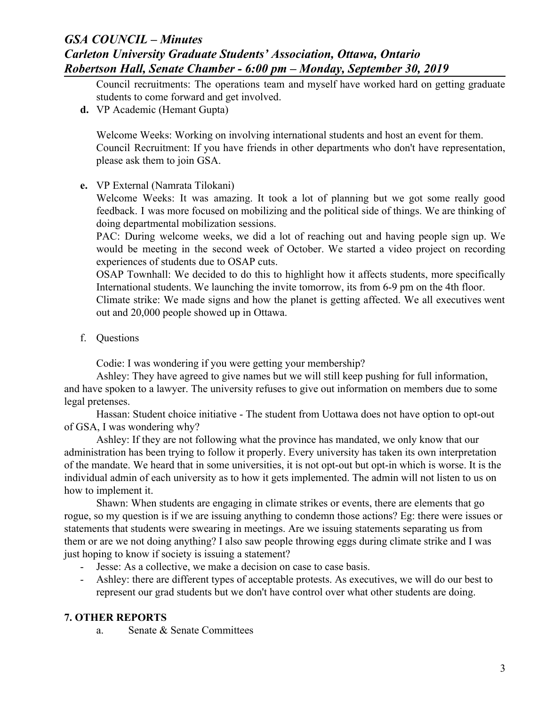Council recruitments: The operations team and myself have worked hard on getting graduate students to come forward and get involved.

**d.** VP Academic (Hemant Gupta)

Welcome Weeks: Working on involving international students and host an event for them. Council Recruitment: If you have friends in other departments who don't have representation, please ask them to join GSA.

**e.** VP External (Namrata Tilokani)

Welcome Weeks: It was amazing. It took a lot of planning but we got some really good feedback. I was more focused on mobilizing and the political side of things. We are thinking of doing departmental mobilization sessions.

PAC: During welcome weeks, we did a lot of reaching out and having people sign up. We would be meeting in the second week of October. We started a video project on recording experiences of students due to OSAP cuts.

OSAP Townhall: We decided to do this to highlight how it affects students, more specifically International students. We launching the invite tomorrow, its from 6-9 pm on the 4th floor.

Climate strike: We made signs and how the planet is getting affected. We all executives went out and 20,000 people showed up in Ottawa.

f. Questions

Codie: I was wondering if you were getting your membership?

Ashley: They have agreed to give names but we will still keep pushing for full information, and have spoken to a lawyer. The university refuses to give out information on members due to some legal pretenses.

Hassan: Student choice initiative - The student from Uottawa does not have option to opt-out of GSA, I was wondering why?

Ashley: If they are not following what the province has mandated, we only know that our administration has been trying to follow it properly. Every university has taken its own interpretation of the mandate. We heard that in some universities, it is not opt-out but opt-in which is worse. It is the individual admin of each university as to how it gets implemented. The admin will not listen to us on how to implement it.

Shawn: When students are engaging in climate strikes or events, there are elements that go rogue, so my question is if we are issuing anything to condemn those actions? Eg: there were issues or statements that students were swearing in meetings. Are we issuing statements separating us from them or are we not doing anything? I also saw people throwing eggs during climate strike and I was just hoping to know if society is issuing a statement?

- Jesse: As a collective, we make a decision on case to case basis.
- Ashley: there are different types of acceptable protests. As executives, we will do our best to represent our grad students but we don't have control over what other students are doing.

### **7. OTHER REPORTS**

a. Senate & Senate Committees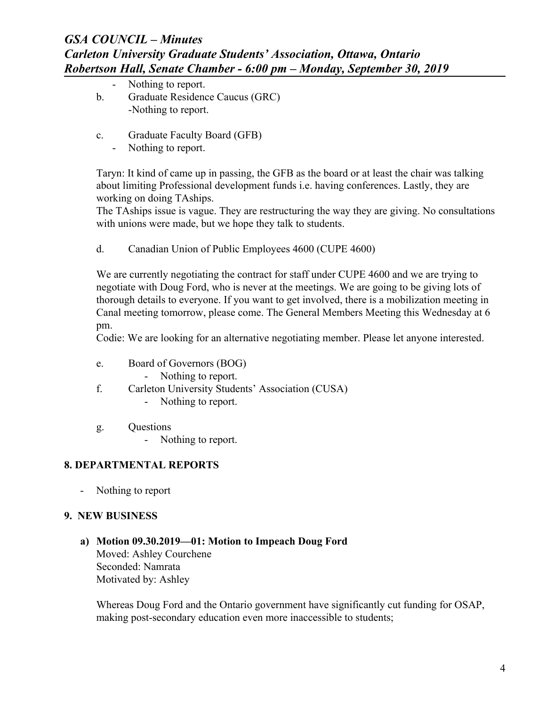- Nothing to report. b. Graduate Residence Caucus (GRC) -Nothing to report.
- c. Graduate Faculty Board (GFB)
	- Nothing to report.

Taryn: It kind of came up in passing, the GFB as the board or at least the chair was talking about limiting Professional development funds i.e. having conferences. Lastly, they are working on doing TAships.

The TAships issue is vague. They are restructuring the way they are giving. No consultations with unions were made, but we hope they talk to students.

d. Canadian Union of Public Employees 4600 (CUPE 4600)

We are currently negotiating the contract for staff under CUPE 4600 and we are trying to negotiate with Doug Ford, who is never at the meetings. We are going to be giving lots of thorough details to everyone. If you want to get involved, there is a mobilization meeting in Canal meeting tomorrow, please come. The General Members Meeting this Wednesday at 6 pm.

Codie: We are looking for an alternative negotiating member. Please let anyone interested.

- e. Board of Governors (BOG)
	- Nothing to report.
- f. Carleton University Students' Association (CUSA)
	- Nothing to report.
- g. Questions

- Nothing to report.

### **8. DEPARTMENTAL REPORTS**

- Nothing to report

### **9. NEW BUSINESS**

**a) Motion 09.30.2019—01: Motion to Impeach Doug Ford** Moved: Ashley Courchene Seconded: Namrata Motivated by: Ashley

Whereas Doug Ford and the Ontario government have significantly cut funding for OSAP, making post-secondary education even more inaccessible to students;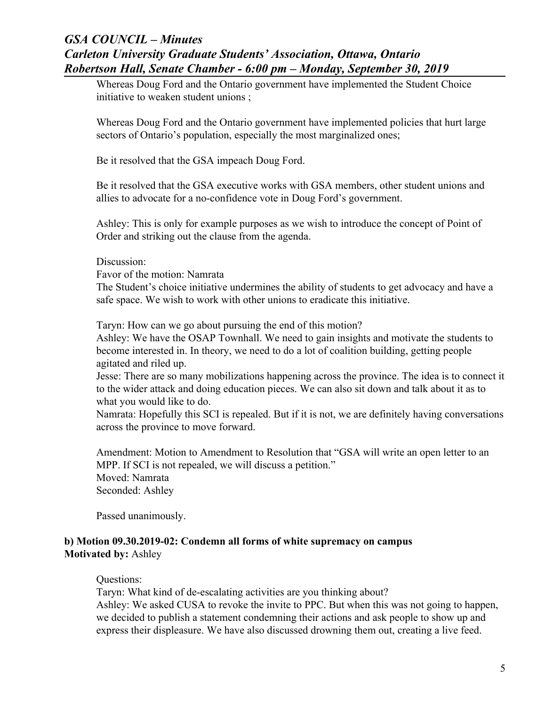Whereas Doug Ford and the Ontario government have implemented the Student Choice initiative to weaken student unions ;

Whereas Doug Ford and the Ontario government have implemented policies that hurt large sectors of Ontario's population, especially the most marginalized ones;

Be it resolved that the GSA impeach Doug Ford.

Be it resolved that the GSA executive works with GSA members, other student unions and allies to advocate for a no-confidence vote in Doug Ford's government.

Ashley: This is only for example purposes as we wish to introduce the concept of Point of Order and striking out the clause from the agenda.

#### Discussion:

Favor of the motion: Namrata

The Student's choice initiative undermines the ability of students to get advocacy and have a safe space. We wish to work with other unions to eradicate this initiative.

Taryn: How can we go about pursuing the end of this motion?

Ashley: We have the OSAP Townhall. We need to gain insights and motivate the students to become interested in. In theory, we need to do a lot of coalition building, getting people agitated and riled up.

Jesse: There are so many mobilizations happening across the province. The idea is to connect it to the wider attack and doing education pieces. We can also sit down and talk about it as to what you would like to do.

Namrata: Hopefully this SCI is repealed. But if it is not, we are definitely having conversations across the province to move forward.

Amendment: Motion to Amendment to Resolution that "GSA will write an open letter to an MPP. If SCI is not repealed, we will discuss a petition." Moved: Namrata Seconded: Ashley

Passed unanimously.

### **b) Motion 09.30.2019-02: Condemn all forms of white supremacy on campus Motivated by:** Ashley

### Questions:

Taryn: What kind of de-escalating activities are you thinking about? Ashley: We asked CUSA to revoke the invite to PPC. But when this was not going to happen, we decided to publish a statement condemning their actions and ask people to show up and express their displeasure. We have also discussed drowning them out, creating a live feed.